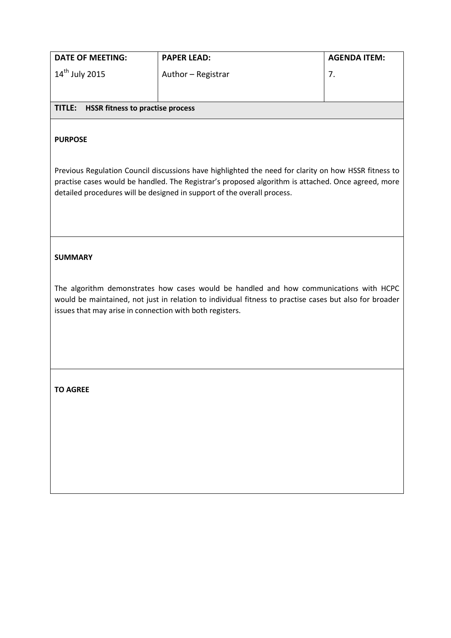| <b>DATE OF MEETING:</b>                           | <b>PAPER LEAD:</b> | <b>AGENDA ITEM:</b> |
|---------------------------------------------------|--------------------|---------------------|
| $14^{\text{th}}$ July 2015                        | Author - Registrar |                     |
| <b>HSSR fitness to practise process</b><br>TITLE: |                    |                     |

## **PURPOSE**

Previous Regulation Council discussions have highlighted the need for clarity on how HSSR fitness to practise cases would be handled. The Registrar's proposed algorithm is attached. Once agreed, more detailed procedures will be designed in support of the overall process.

## **SUMMARY**

The algorithm demonstrates how cases would be handled and how communications with HCPC would be maintained, not just in relation to individual fitness to practise cases but also for broader issues that may arise in connection with both registers.

**TO AGREE**